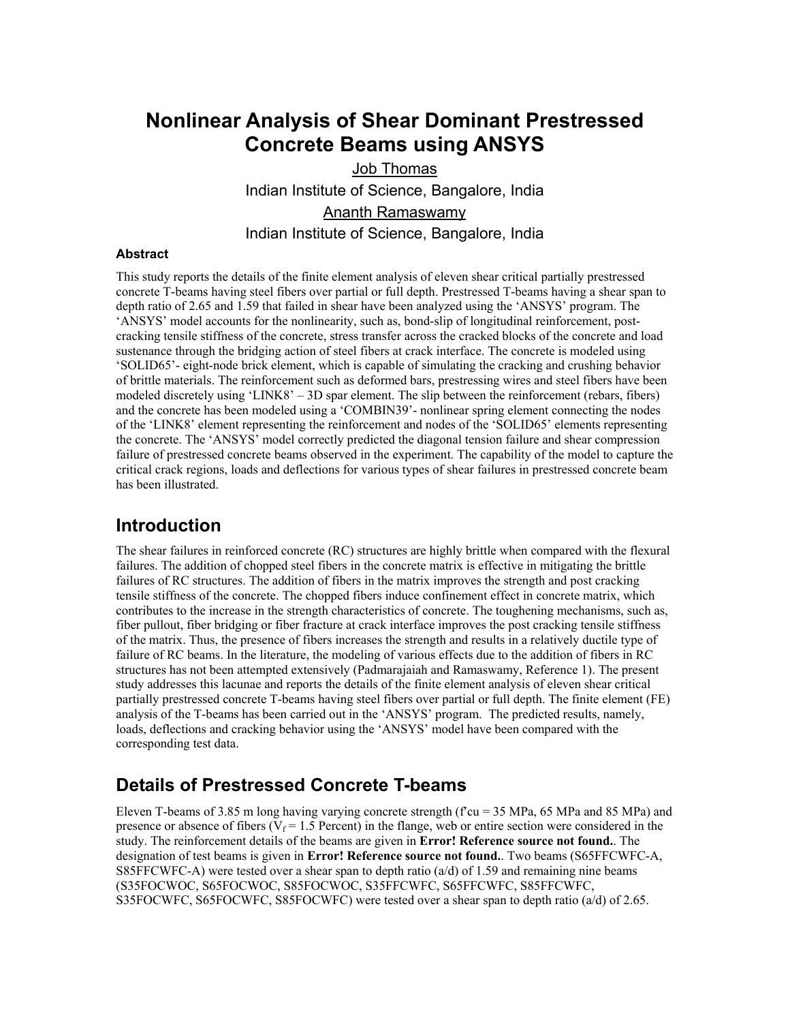# **Nonlinear Analysis of Shear Dominant Prestressed Concrete Beams using ANSYS**

Job Thomas Indian Institute of Science, Bangalore, India Ananth Ramaswamy Indian Institute of Science, Bangalore, India

#### **Abstract**

This study reports the details of the finite element analysis of eleven shear critical partially prestressed concrete T-beams having steel fibers over partial or full depth. Prestressed T-beams having a shear span to depth ratio of 2.65 and 1.59 that failed in shear have been analyzed using the 'ANSYS' program. The 'ANSYS' model accounts for the nonlinearity, such as, bond-slip of longitudinal reinforcement, postcracking tensile stiffness of the concrete, stress transfer across the cracked blocks of the concrete and load sustenance through the bridging action of steel fibers at crack interface. The concrete is modeled using 'SOLID65'- eight-node brick element, which is capable of simulating the cracking and crushing behavior of brittle materials. The reinforcement such as deformed bars, prestressing wires and steel fibers have been modeled discretely using 'LINK8' – 3D spar element. The slip between the reinforcement (rebars, fibers) and the concrete has been modeled using a 'COMBIN39'- nonlinear spring element connecting the nodes of the 'LINK8' element representing the reinforcement and nodes of the 'SOLID65' elements representing the concrete. The 'ANSYS' model correctly predicted the diagonal tension failure and shear compression failure of prestressed concrete beams observed in the experiment. The capability of the model to capture the critical crack regions, loads and deflections for various types of shear failures in prestressed concrete beam has been illustrated.

### **Introduction**

The shear failures in reinforced concrete (RC) structures are highly brittle when compared with the flexural failures. The addition of chopped steel fibers in the concrete matrix is effective in mitigating the brittle failures of RC structures. The addition of fibers in the matrix improves the strength and post cracking tensile stiffness of the concrete. The chopped fibers induce confinement effect in concrete matrix, which contributes to the increase in the strength characteristics of concrete. The toughening mechanisms, such as, fiber pullout, fiber bridging or fiber fracture at crack interface improves the post cracking tensile stiffness of the matrix. Thus, the presence of fibers increases the strength and results in a relatively ductile type of failure of RC beams. In the literature, the modeling of various effects due to the addition of fibers in RC structures has not been attempted extensively (Padmarajaiah and Ramaswamy, Reference 1). The present study addresses this lacunae and reports the details of the finite element analysis of eleven shear critical partially prestressed concrete T-beams having steel fibers over partial or full depth. The finite element (FE) analysis of the T-beams has been carried out in the 'ANSYS' program. The predicted results, namely, loads, deflections and cracking behavior using the 'ANSYS' model have been compared with the corresponding test data.

## **Details of Prestressed Concrete T-beams**

Eleven T-beams of 3.85 m long having varying concrete strength (f′cu = 35 MPa, 65 MPa and 85 MPa) and presence or absence of fibers ( $V_f$  = 1.5 Percent) in the flange, web or entire section were considered in the study. The reinforcement details of the beams are given in **Error! Reference source not found.**. The designation of test beams is given in **Error! Reference source not found.**. Two beams (S65FFCWFC-A, S85FFCWFC-A) were tested over a shear span to depth ratio (a/d) of 1.59 and remaining nine beams (S35FOCWOC, S65FOCWOC, S85FOCWOC, S35FFCWFC, S65FFCWFC, S85FFCWFC, S35FOCWFC, S65FOCWFC, S85FOCWFC) were tested over a shear span to depth ratio (a/d) of 2.65.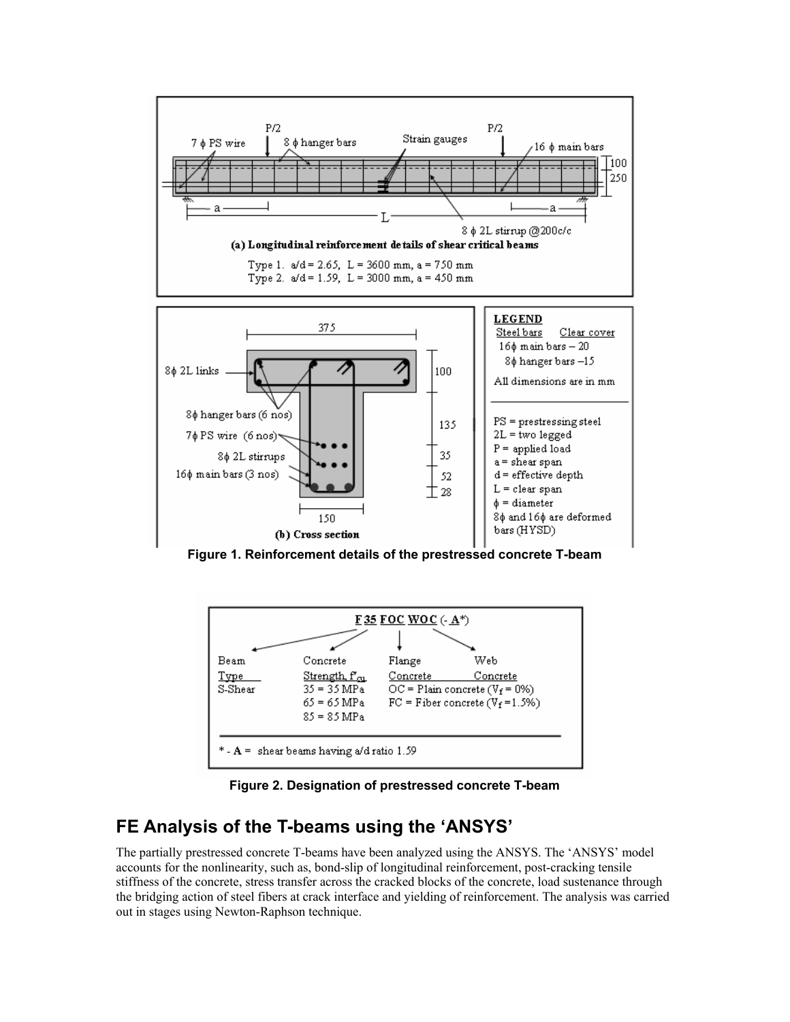

**Figure 1. Reinforcement details of the prestressed concrete T-beam** 



**Figure 2. Designation of prestressed concrete T-beam** 

## **FE Analysis of the T-beams using the 'ANSYS'**

The partially prestressed concrete T-beams have been analyzed using the ANSYS. The 'ANSYS' model accounts for the nonlinearity, such as, bond-slip of longitudinal reinforcement, post-cracking tensile stiffness of the concrete, stress transfer across the cracked blocks of the concrete, load sustenance through the bridging action of steel fibers at crack interface and yielding of reinforcement. The analysis was carried out in stages using Newton-Raphson technique.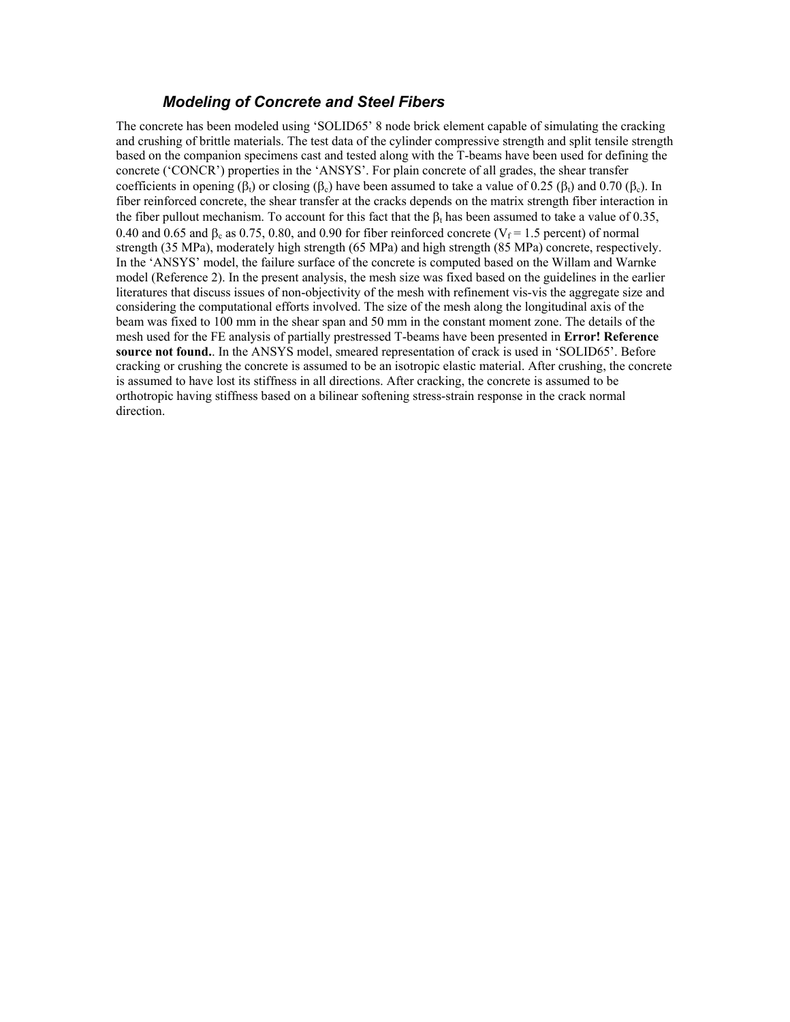#### *Modeling of Concrete and Steel Fibers*

The concrete has been modeled using 'SOLID65' 8 node brick element capable of simulating the cracking and crushing of brittle materials. The test data of the cylinder compressive strength and split tensile strength based on the companion specimens cast and tested along with the T-beams have been used for defining the concrete ('CONCR') properties in the 'ANSYS'. For plain concrete of all grades, the shear transfer coefficients in opening ( $\beta_t$ ) or closing ( $\beta_c$ ) have been assumed to take a value of 0.25 ( $\beta_t$ ) and 0.70 ( $\beta_c$ ). In fiber reinforced concrete, the shear transfer at the cracks depends on the matrix strength fiber interaction in the fiber pullout mechanism. To account for this fact that the  $\beta_t$  has been assumed to take a value of 0.35, 0.40 and 0.65 and  $\beta_c$  as 0.75, 0.80, and 0.90 for fiber reinforced concrete ( $V_f = 1.5$  percent) of normal strength (35 MPa), moderately high strength (65 MPa) and high strength (85 MPa) concrete, respectively. In the 'ANSYS' model, the failure surface of the concrete is computed based on the Willam and Warnke model (Reference 2). In the present analysis, the mesh size was fixed based on the guidelines in the earlier literatures that discuss issues of non-objectivity of the mesh with refinement vis-vis the aggregate size and considering the computational efforts involved. The size of the mesh along the longitudinal axis of the beam was fixed to 100 mm in the shear span and 50 mm in the constant moment zone. The details of the mesh used for the FE analysis of partially prestressed T-beams have been presented in **Error! Reference source not found.**. In the ANSYS model, smeared representation of crack is used in 'SOLID65'. Before cracking or crushing the concrete is assumed to be an isotropic elastic material. After crushing, the concrete is assumed to have lost its stiffness in all directions. After cracking, the concrete is assumed to be orthotropic having stiffness based on a bilinear softening stress-strain response in the crack normal direction.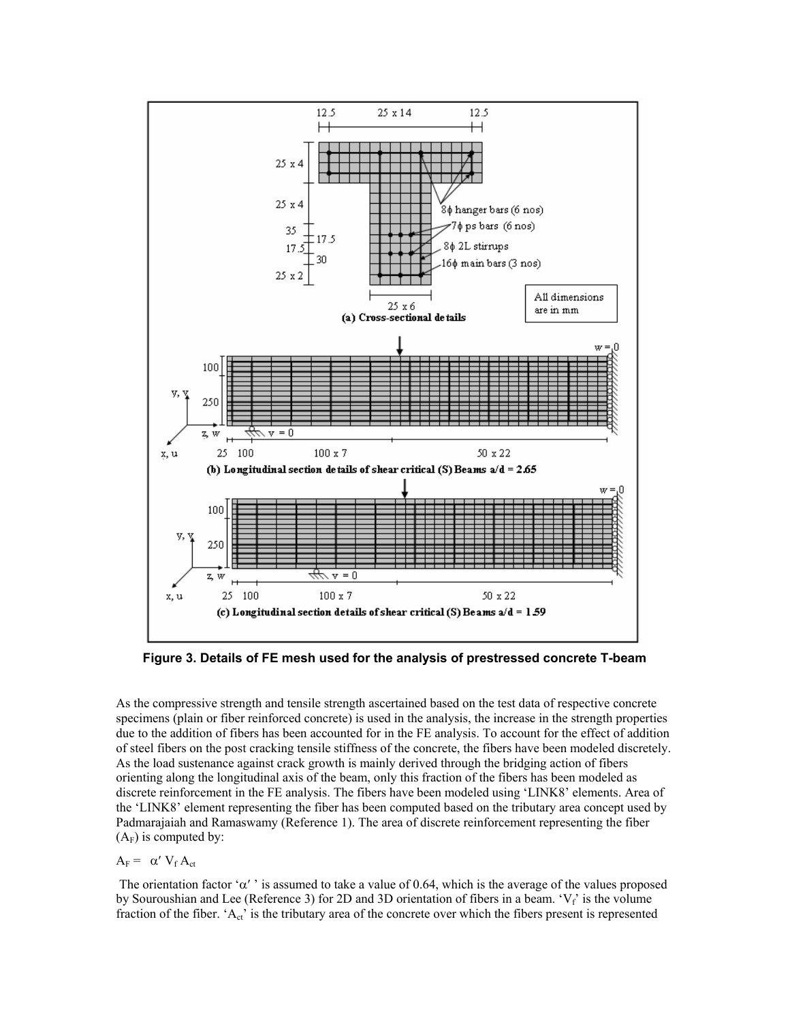

**Figure 3. Details of FE mesh used for the analysis of prestressed concrete T-beam** 

As the compressive strength and tensile strength ascertained based on the test data of respective concrete specimens (plain or fiber reinforced concrete) is used in the analysis, the increase in the strength properties due to the addition of fibers has been accounted for in the FE analysis. To account for the effect of addition of steel fibers on the post cracking tensile stiffness of the concrete, the fibers have been modeled discretely. As the load sustenance against crack growth is mainly derived through the bridging action of fibers orienting along the longitudinal axis of the beam, only this fraction of the fibers has been modeled as discrete reinforcement in the FE analysis. The fibers have been modeled using 'LINK8' elements. Area of the 'LINK8' element representing the fiber has been computed based on the tributary area concept used by Padmarajaiah and Ramaswamy (Reference 1). The area of discrete reinforcement representing the fiber  $(A_F)$  is computed by:

 $A_F = \alpha' V_f A_{ct}$ 

The orientation factor ' $\alpha'$ ' is assumed to take a value of 0.64, which is the average of the values proposed by Souroushian and Lee (Reference 3) for 2D and 3D orientation of fibers in a beam. ' $V_f$ ' is the volume fraction of the fiber. 'A<sub>ct</sub>' is the tributary area of the concrete over which the fibers present is represented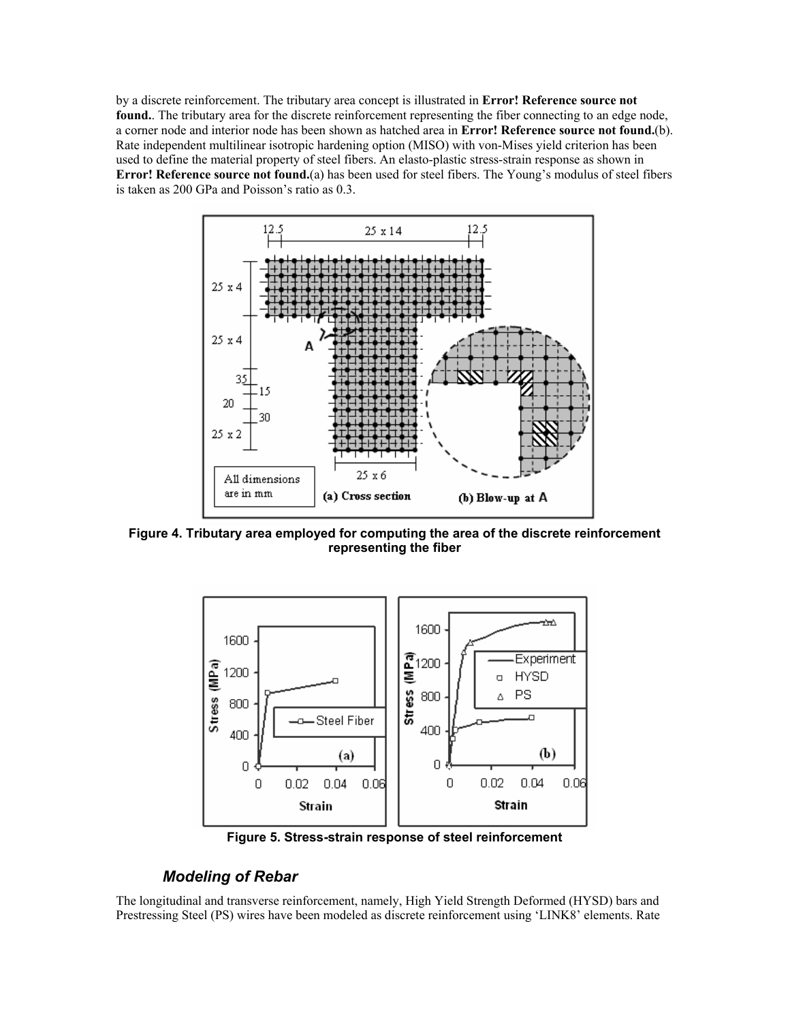by a discrete reinforcement. The tributary area concept is illustrated in **Error! Reference source not found.** The tributary area for the discrete reinforcement representing the fiber connecting to an edge node, a corner node and interior node has been shown as hatched area in **Error! Reference source not found.**(b). Rate independent multilinear isotropic hardening option (MISO) with von-Mises yield criterion has been used to define the material property of steel fibers. An elasto-plastic stress-strain response as shown in **Error! Reference source not found.**(a) has been used for steel fibers. The Young's modulus of steel fibers is taken as 200 GPa and Poisson's ratio as 0.3.



**Figure 4. Tributary area employed for computing the area of the discrete reinforcement representing the fiber** 



**Figure 5. Stress-strain response of steel reinforcement**

#### *Modeling of Rebar*

The longitudinal and transverse reinforcement, namely, High Yield Strength Deformed (HYSD) bars and Prestressing Steel (PS) wires have been modeled as discrete reinforcement using 'LINK8' elements. Rate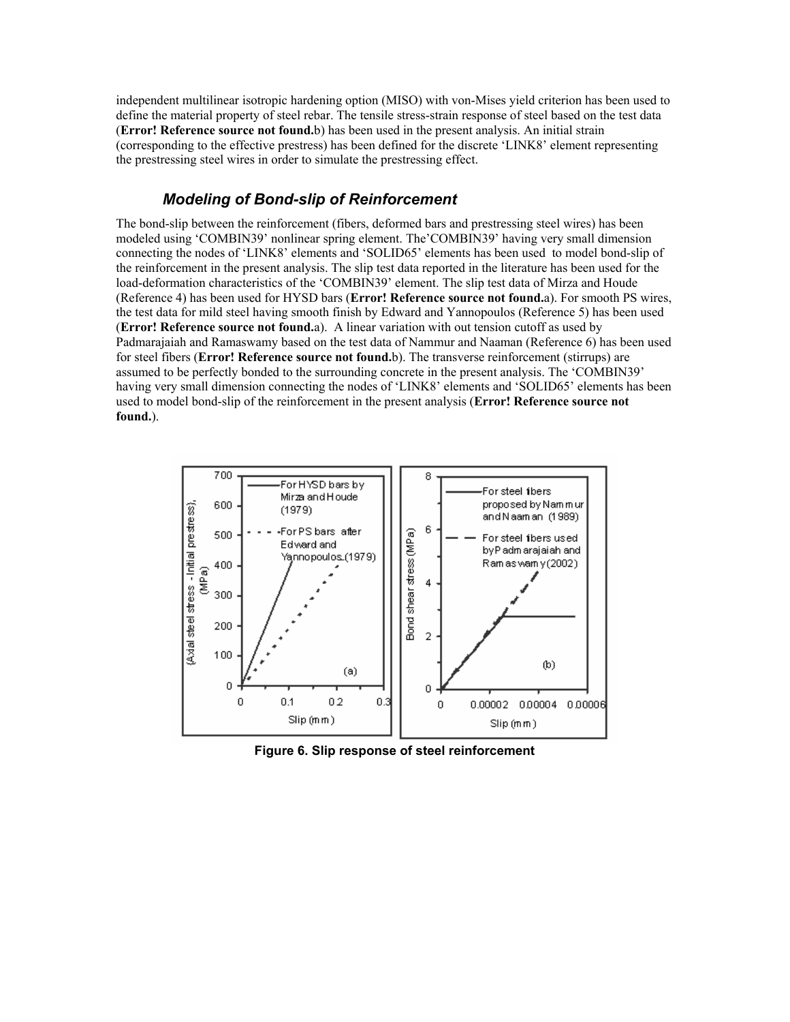independent multilinear isotropic hardening option (MISO) with von-Mises yield criterion has been used to define the material property of steel rebar. The tensile stress-strain response of steel based on the test data (**Error! Reference source not found.**b) has been used in the present analysis. An initial strain (corresponding to the effective prestress) has been defined for the discrete 'LINK8' element representing the prestressing steel wires in order to simulate the prestressing effect.

#### *Modeling of Bond-slip of Reinforcement*

The bond-slip between the reinforcement (fibers, deformed bars and prestressing steel wires) has been modeled using 'COMBIN39' nonlinear spring element. The'COMBIN39' having very small dimension connecting the nodes of 'LINK8' elements and 'SOLID65' elements has been used to model bond-slip of the reinforcement in the present analysis. The slip test data reported in the literature has been used for the load-deformation characteristics of the 'COMBIN39' element. The slip test data of Mirza and Houde (Reference 4) has been used for HYSD bars (**Error! Reference source not found.**a). For smooth PS wires, the test data for mild steel having smooth finish by Edward and Yannopoulos (Reference 5) has been used (**Error! Reference source not found.**a). A linear variation with out tension cutoff as used by Padmarajaiah and Ramaswamy based on the test data of Nammur and Naaman (Reference 6) has been used for steel fibers (**Error! Reference source not found.**b). The transverse reinforcement (stirrups) are assumed to be perfectly bonded to the surrounding concrete in the present analysis. The 'COMBIN39' having very small dimension connecting the nodes of 'LINK8' elements and 'SOLID65' elements has been used to model bond-slip of the reinforcement in the present analysis (**Error! Reference source not found.**).



**Figure 6. Slip response of steel reinforcement**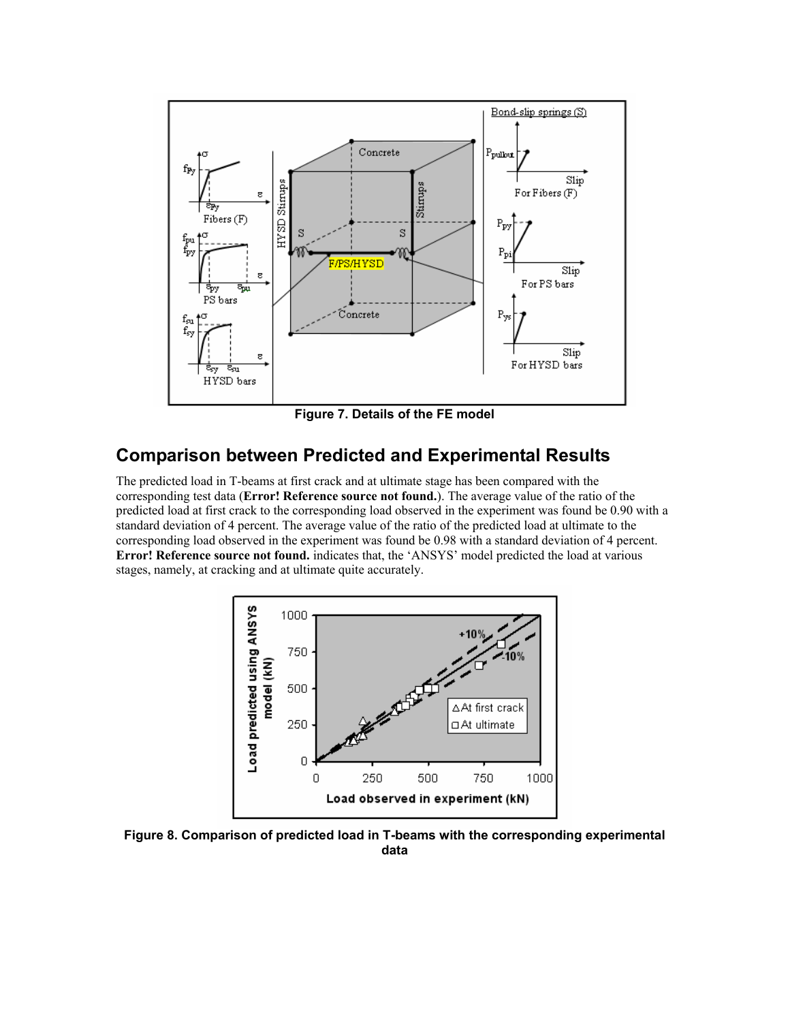

**Figure 7. Details of the FE model**

### **Comparison between Predicted and Experimental Results**

The predicted load in T-beams at first crack and at ultimate stage has been compared with the corresponding test data (**Error! Reference source not found.**). The average value of the ratio of the predicted load at first crack to the corresponding load observed in the experiment was found be 0.90 with a standard deviation of 4 percent. The average value of the ratio of the predicted load at ultimate to the corresponding load observed in the experiment was found be 0.98 with a standard deviation of 4 percent. **Error! Reference source not found.** indicates that, the 'ANSYS' model predicted the load at various stages, namely, at cracking and at ultimate quite accurately.



**Figure 8. Comparison of predicted load in T-beams with the corresponding experimental data**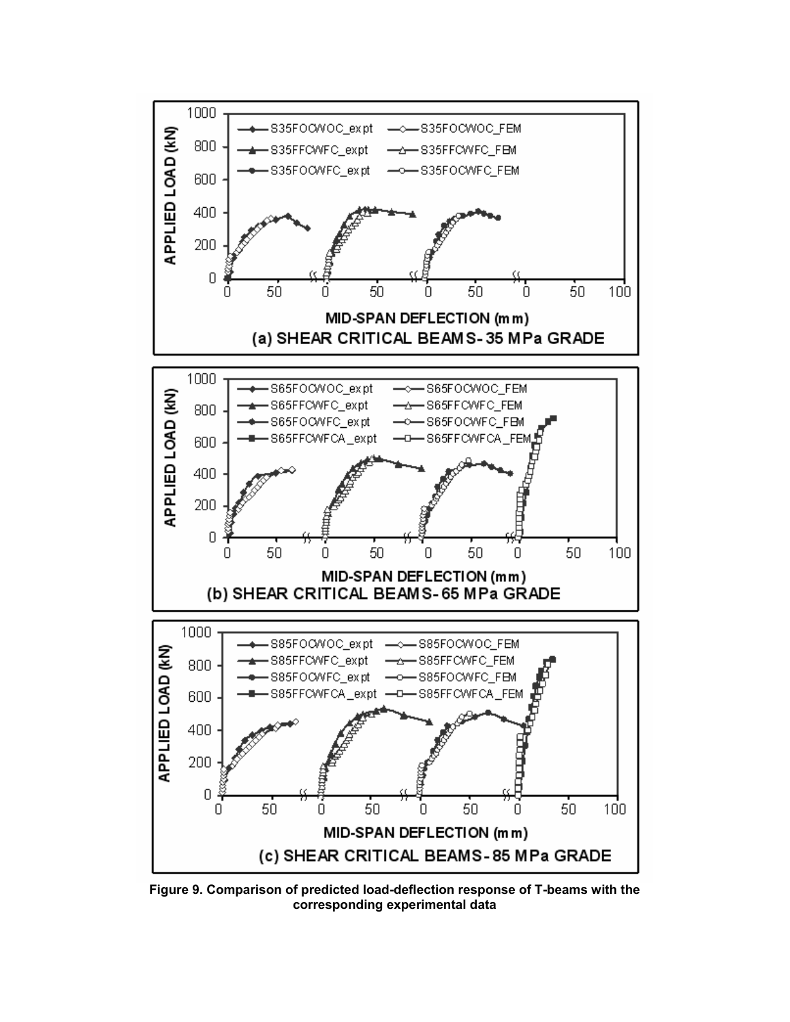

**Figure 9. Comparison of predicted load-deflection response of T-beams with the corresponding experimental data**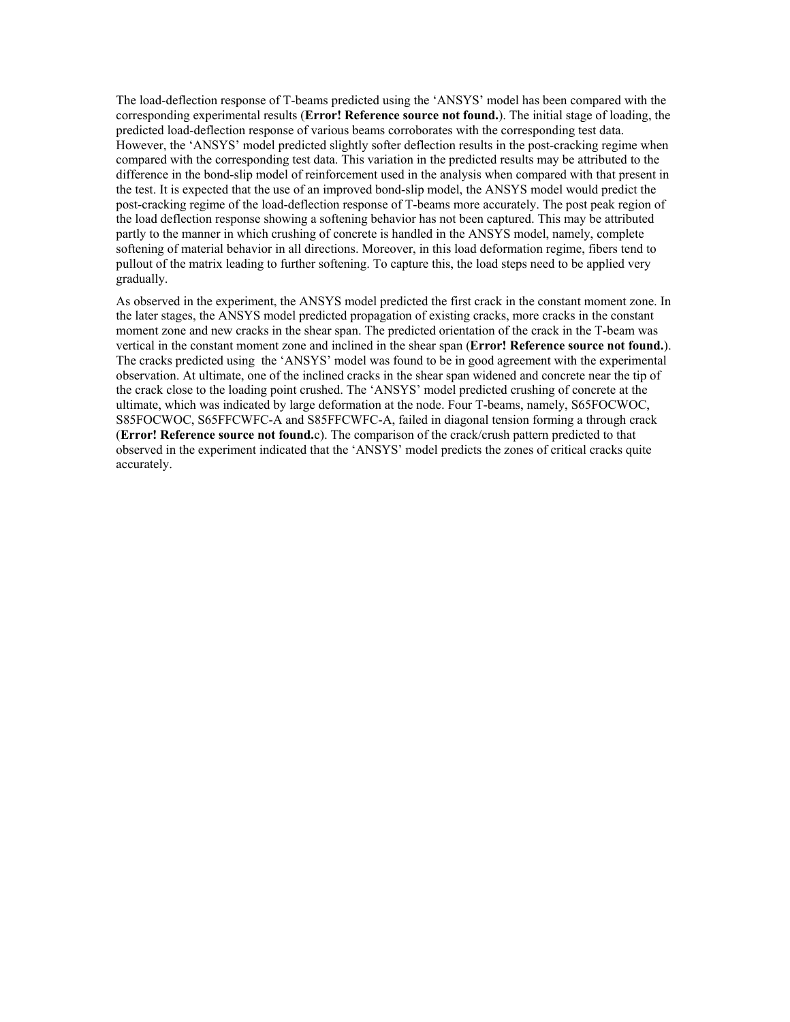The load-deflection response of T-beams predicted using the 'ANSYS' model has been compared with the corresponding experimental results (**Error! Reference source not found.**). The initial stage of loading, the predicted load-deflection response of various beams corroborates with the corresponding test data. However, the 'ANSYS' model predicted slightly softer deflection results in the post-cracking regime when compared with the corresponding test data. This variation in the predicted results may be attributed to the difference in the bond-slip model of reinforcement used in the analysis when compared with that present in the test. It is expected that the use of an improved bond-slip model, the ANSYS model would predict the post-cracking regime of the load-deflection response of T-beams more accurately. The post peak region of the load deflection response showing a softening behavior has not been captured. This may be attributed partly to the manner in which crushing of concrete is handled in the ANSYS model, namely, complete softening of material behavior in all directions. Moreover, in this load deformation regime, fibers tend to pullout of the matrix leading to further softening. To capture this, the load steps need to be applied very gradually.

As observed in the experiment, the ANSYS model predicted the first crack in the constant moment zone. In the later stages, the ANSYS model predicted propagation of existing cracks, more cracks in the constant moment zone and new cracks in the shear span. The predicted orientation of the crack in the T-beam was vertical in the constant moment zone and inclined in the shear span (**Error! Reference source not found.**). The cracks predicted using the 'ANSYS' model was found to be in good agreement with the experimental observation. At ultimate, one of the inclined cracks in the shear span widened and concrete near the tip of the crack close to the loading point crushed. The 'ANSYS' model predicted crushing of concrete at the ultimate, which was indicated by large deformation at the node. Four T-beams, namely, S65FOCWOC, S85FOCWOC, S65FFCWFC-A and S85FFCWFC-A, failed in diagonal tension forming a through crack (**Error! Reference source not found.**c). The comparison of the crack/crush pattern predicted to that observed in the experiment indicated that the 'ANSYS' model predicts the zones of critical cracks quite accurately.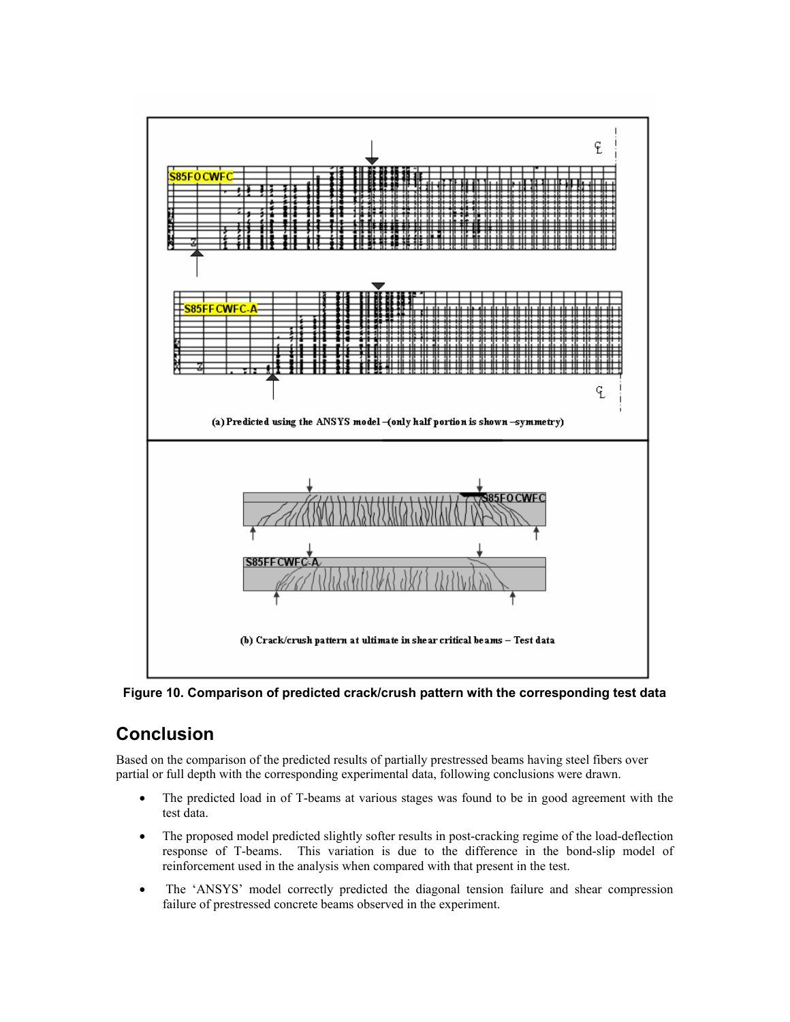

**Figure 10. Comparison of predicted crack/crush pattern with the corresponding test data** 

## **Conclusion**

Based on the comparison of the predicted results of partially prestressed beams having steel fibers over partial or full depth with the corresponding experimental data, following conclusions were drawn.

- The predicted load in of T-beams at various stages was found to be in good agreement with the test data.
- The proposed model predicted slightly softer results in post-cracking regime of the load-deflection response of T-beams. This variation is due to the difference in the bond-slip model of reinforcement used in the analysis when compared with that present in the test.
- The 'ANSYS' model correctly predicted the diagonal tension failure and shear compression failure of prestressed concrete beams observed in the experiment.